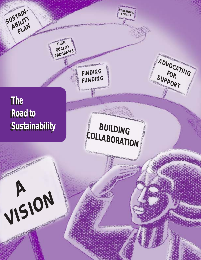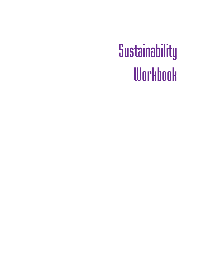# **Sustainability Workbook**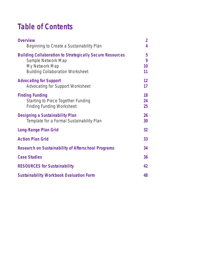# **Table of Contents**

| <b>Overview</b><br>Beginning to Create a Sustainability Plan                                                                                       | $\overline{2}$<br>4 |
|----------------------------------------------------------------------------------------------------------------------------------------------------|---------------------|
| <b>Building Collaboration to Strategically Secure Resources</b><br>Sample Network Map<br>My Network Map<br><b>Building Collaboration Worksheet</b> | 5<br>9<br>10<br>11  |
| <b>Advocating for Support</b><br><b>Advocating for Support Worksheet</b>                                                                           | 12<br>17            |
| <b>Finding Funding</b><br><b>Starting to Piece Together Funding</b><br><b>Finding Funding Worksheet</b>                                            | 18<br>24<br>25      |
| <b>Designing a Sustainability Plan</b><br>Template for a Formal Sustainability Plan                                                                | 26<br>30            |
| <b>Long-Range Plan Grid</b>                                                                                                                        | 32                  |
| <b>Action Plan Grid</b>                                                                                                                            | 33                  |
| <b>Research on Sustainability of Afterschool Programs</b>                                                                                          | 34                  |
| <b>Case Studies</b>                                                                                                                                | 36                  |
| <b>RESOURCES for Sustainability</b>                                                                                                                | 42                  |
| <b>Sustainability Workbook Evaluation Form</b>                                                                                                     | 48                  |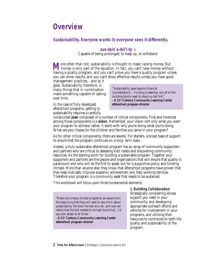### **Overview**

#### **Sustainability. Everyone wants it; everyone sees it differently.**

#### **sus•tain`a•bil'i•ty***: n.*

Capable of being prolonged; to keep up; to withstand.

**M** ore often than not, sustainability is thought to mean raising money. But money is only part of the equation. In fact, you can't raise money without having a quality program, and you can't prove you have a quality program unless you can show results, and you can't show effective results unless you have good

management practices…and so it goes. Sustainability therefore, is many things that in combination make something capable of lasting over time.

"Sustainability goes beyond financial (consideration)…Funding is essential, but all of the building blocks need to stand up tall first." **- A 21st Century Community Learning Center afterschool program director**

In the case of fully developed afterschool programs, getting to sustainability requires a carefully

constructed **plan** composed of a number of critical components. First and foremost among those components is a **vision**. Remember, your vision isn't only what you want your program to achieve; rather, it starts with why you're doing what you're doing. What are your hopes for the children and families you serve in your program?

As for other critical components, there are several. For starters, a broad base of support to ensure that the program continues on a long- term basis.

Indeed, a truly sustainable afterschool program has an array of community supporters and partners who are critical to assessing kids' needs and discovering community resources. As the starting point for building a sustainable program. Together your supporters and partners are the people and organizations that will ensure that quality is paramount and who will be the first to speak out for a supportive policy and funding climate. More than anyone else, they know that afterschool programs have proven that they keep kids safe, improve academic achievement and help working families. Therefore your program is a community asset that needs to be sustained.

This workbook will focus upon three fundamental elements:

"Make sure (newly funded programs) are aware from the beginning that they will need to also think about sustainability. We took the ball and ran, and now we realize that the ball needed to be kept bouncing!…I'd say plan ahead at all times."

**- A 21st Century Community Learning Center afterschool program director**

**1. Building Collaboration** Strategically considering whose support you need in your community, and developing appropriate outreach efforts and vehicles for involvement in your programs, and utilizing their resources to contribute to both the quality and sustainability of the program.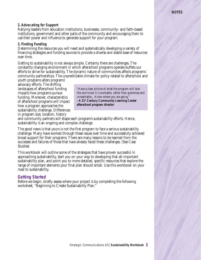#### **NOTES**

#### **2. Advocating for Support**

Rallying leaders from education institutions, businesses, community- and faith-based institutions, government and other parts of the community and encouraging them to use their power and influence to generate support for your program.

#### **3. Finding Funding**

Determining the resources you will need and systematically developing a variety of financing strategies and funding sources to provide a diverse and stable base of resources over time.

Getting to sustainability is not always simple. Certainly there are challenges. The constantly changing environment in which afterschool programs operate buffets our efforts to strive for sustainability. The dynamic nature of communities affects programs' community partnerships. The unpredictable climate for policy related to afterschool and youth programs alters programs'

advocacy efforts. The shifting landscapes of afterschool funding impacts how programs pursue funding. Moreover, characteristics of afterschool programs will impact how a program approaches the sustainability challenge. Differences in program size, location, history

"Have a clear picture of what the program will look like and know it is workable, rather than grandiose and unreachable...Know where you are going." **- A 21st Century Community Learning Center afterschool program director**

and community partners will shape each program's sustainability efforts. Hence, sustainability is an ongoing and complex challenge.

The good news is that yours is not the first program to face a serious sustainability challenge. Many have worked through these issues over time and successfully achieved broad support for their programs. There are many lessons to be learned from the successes and failures of those that have already faced these challenges. (See Case Studies)

This workbook will outline some of the strategies that have proven successful in approaching sustainability, start you on your way to developing that all-important sustainability plan, and point you to more detailed, specific resources that explore the range of important elements your final plan should entail. Use this workbook on your road to sustainability.

#### **Getting Started**

Before we begin, briefly assess where your project is by completing the following worksheet, "Beginning to Create Sustainability Plan."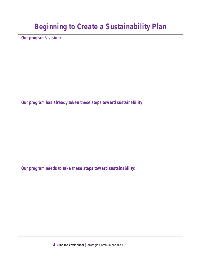# **Beginning to Create a Sustainability Plan**

**Our program's vision:** 

**Our program has already taken these steps toward sustainability:** 

**Our program needs to take these steps toward sustainability:**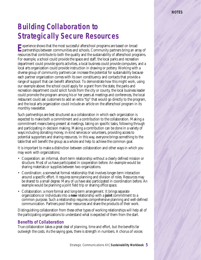del supporter de

# **Building Collaboration to Strategically Secure Resources**

**E**xperience shows that the most successful afterschool programs are based on broad partnerships between communities and schools. Community partners bring an array of resources that contribute to both the quality and the sustainability of afterschool programs. For example, a school could provide the space and staff, the local parks and recreation department could provide sports activities, a local business could provide computers, and a local arts organization could provide instruction in drawing or pottery. Working with a diverse group of community partners can increase the potential for sustainability because each partner organization comes with its own constituency and contacts that provide a range of support that can benefit afterschool. To demonstrate how this might work, using our example above: the school could apply for a grant from the state, the parks and recreation department could solicit funds from the city or county, the local business leader could promote the program among his or her peers at meetings and conferences, the local restaurant could ask customers to add an extra "tip" that would go directly to the program, and the local arts organization could include an article on the afterschool program in its monthly newsletter.

Such partnerships are best structured as a collaboration in which each organization is expected to make both a commitment and a contribution to the collaboration. Making a commitment means being present at meetings, taking on specific tasks, following through and participating in decision making. Making a contribution can be done in a variety of ways including donating money, in-kind services or volunteers, providing access to potential supporters and sharing resources. In this way, everyone brings something to the table that will benefit the group as a whole and help to achieve the common goal.

It is important to make a distinction between collaboration and other ways in which you may work with organizations:

- Cooperation: an informal, short-term relationship without a clearly defined mission or structure. Most of us have participated in cooperation before. An example would be sharing materials or supplies between two organizations.
- Coordination: a somewhat formal relationship that involves longer-term interaction around a specific effort. It requires some planning and division of roles. Resources may be shared to a small degree. Many of us have also participated in coordination before. An example would be planning a joint field trip or sharing office space.
- Collaboration: a more formal and long-term arrangement. It brings separate organizations or individuals into a **new** relationship with a **joint** commitment to a common purpose. Such a relationship requires comprehensive planning and well-defined communication. Partners pool their resources and share the products of their work.

Distinguishing collaboration from these other types of working relationships will help all of the participating organizations to understand what is expected of them from the start.

#### **Benefits of Collaboration**

True collaboration takes a great deal of planning, time and effort, but the benefits far outweigh the costs. As the saying goes, there is strength in numbers. A chorus of voices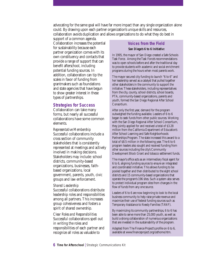advocating for the same goal will have far more impact than any single organization alone could. By drawing upon each partner organization's unique skills and resources, collaboration avoids duplication and allows organizations to do what they do best in

support of a common agenda. Collaboration increases the potential for sustainability because each partner organization comes with its own constituency and contacts that provide a range of support that can benefit afterschool, including potential funding sources. In addition, collaboration can tip the scales in favor of funding from grantmakers such as foundations and state agencies that have begun to show greater interest in these types of partnerships.

#### **Strategies for Success**

Collaboration can take many forms, but nearly all successful collaborations have some common elements.

*Representative Membership* Successful collaborations include a cross section of community stakeholders that is consistently represented at meetings and actively involved in making decisions. Stakeholders may include: school districts, community-based organizations, businesses, faithbased organizations, local government, parents, youth, civic groups and law enforcement.

#### *Shared Leadership*

Successful collaborations distribute leadership roles and responsibilities among all partners. This increases group cohesiveness and fosters a spirit of shared ownership.

*Clear Roles and Responsibilities* Successful collaborations spell out in writing the roles and responsibilities of each partner and recognize all roles as valuable to

### **Voices from the Field**

#### **San Diego's 6 to 6 Initiativ**e

In 1995, the mayor of San Diego created a Safe Schools Task Force. Among the Task Force's recommendations was to open schools before and after the traditional day to provide students with academic and social enrichment programs during the hours when most parents work.

The mayor secured city funding to launch "6 to 6" and her leadership served as a catalyst that pulled together other stakeholders in the community to support the initiative. These stakeholders, including representatives from the city, county, school districts, school boards, PTA, community-based organizations, parents and youth, formed the San Diego Regional After School Consortium.

After only the first year, demand for the program outweighed the funding available. Leaders of 6 to 6 began to seek funds from other public sources. Working with the San Diego Regional After School Consortium, they jointly applied for and received a total of \$3.28 million from the California Department of Education's After School Learning and Safe Neighborhoods Partnerships Program. The state increased this award to a total of \$8.5 million in the following year. The 6 to 6 program leaders also sought and received funding from other sources including the city's Community Development Block Grant and tobacco settlement funds.

The mayor's office acts as an intermediary fiscal agent for 6 to 6, aligning funding sources to ensure an integrated and coordinated initiative. This allows funding to be pooled together and then distributed to the eight school districts and 15 community-based organizations that operate the program's 196 sites. Such a system also serves to protect individual program sites from changes in the flow of funds from any one source.

Leaders of 6 to 6 are now beginning to look to the local business community to help raise private revenue and maximize their use of federal funding sources such as Temporary Assistance to Needy Families (TANF).

By maximizing its community partnerships, 6 to 6 has been able to serve more than 25,000 youth, as well as build a strong collaboration of numerous organizations that are invested in the sustainability of the program.

Adapted from The Finance Project's profile on 6 to 6, available at www.financeproject.org/osthome.htm.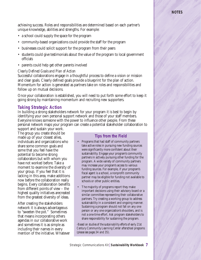#### **NOTES**

opportunities for them to

achieving success. Roles and responsibilities are determined based on each partner's unique knowledge, abilities and strengths. For example:

- a school could supply the space for the program
- community-based organizations could provide the staff for the program
- businesses could solicit support for the program from their peers
- students could give testimonials about the value of the program to local government officials
- parents could help get other parents involved

#### *Clearly Defined Goals and Plan of Action*

Successful collaborations engage in a thoughtful process to define a vision or mission and clear goals. Clearly defined goals provide a blueprint for the plan of action. Momentum for action is generated as partners take on roles and responsibilities and follow up on mutual decisions.

Once your collaboration is established, you will need to put forth some effort to keep it going strong by maintaining momentum and recruiting new supporters.

#### **Taking Strategic Action**

In building a strong stakeholders network for your program it is best to begin by identifying your own personal support network and those of your staff members. Everyone knows someone with the power to influence other people. From these personal network maps your program can create a potential stakeholder collaboration to

support and sustain your work. The group you create should be made up of your closest allies, individuals and organizations who share some common goals and some that you feel have the potential to become strong collaborators but with whom you have not worked before. Take a moment to examine the diversity of your group. If you feel that it is lacking in this area, make additions now before the collaboration really begins. Every collaboration benefits from different points of view – the highest quality initiatives arecreated from the greatest diversity of ideas.

After creating the stakeholders network it is always advantageous to "sweeten the pot." Sometimes that means incorporating others agendas in our collaborative work and sometimes it is as simple as including their names in every mention of the initiative. Whatever

#### **Tips from the Field**

- Programs that had staff of community partners take active roles in pursuing new funding sources were significantly more confident about their sustainability. Engage your program's community partners in actively pursuing other funding for the program. A wide variety of community partners may increase your program's access to various funding sources. For example, if your program's fiscal agent is a school, a nonprofit community partner may be eligible for funding not available to schools or other public entities.
- The majority of programs report they make important decisions using their advisory board or a similar committee representing their collaborative partners. Try creating a working group to address sustainability in a consistent and ongoing manner. Sustaining a program should not fall on any one person or any one organization's shoulders, and is not a one-time effort. Ask program stakeholders to share responsibility for sustaining the program.

*-Based on studies of the sustainability efforts of early 21st Century Community Learning Center afterschool programs (please see pages 34 and 35).*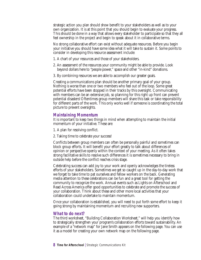strategic action you plan should show benefit to your stakeholders as well as to your own organization. It is at this point that you should begin to evaluate your progress. This should be done in a way that allows every stakeholder to participate so that they all feel ownership in the project and begin to speak about it in collaborative terms.

No strong collaborative effort can exist without adequate resources. Before you begin your initiative you should have some idea what it will take to sustain it. Some points to consider in developing this resource assessment include:

- 1. A chart of your resources and those of your stakeholders.
- 2. An assessment of the resources your community might be able to provide. Look beyond dollars here to "people power," space and other "in-kind" donations.
- 3. By combining resources we are able to accomplish our greater goals.

Creating a communications plan should be another primary goal of your group. Nothing is worse than one or two members who feel out of the loop. Some great potential efforts have been stopped in their tracks by this oversight. Communicating with members can be an extensive job, so planning for this right up front can prevent potential disasters! Oftentimes group members will share this task or take responsibility for different parts of the work. This only works well if someone is coordinating the total picture to prevent oversights.

#### **Maintaining Momentum**

It is important to keep two things in mind when attempting to maintain the initial momentum of your initiative. These are:

- 1. A plan for resolving conflict.
- 2. Taking time to celebrate your success!

Conflicts between group members can often be personally painful and sometimes can block group efforts. It will benefit your effort greatly to talk about differences of opinion or perspective openly within the context of your meeting. As it often takes strong facilitative skills to resolve such differences it is sometimes necessary to bring in outside help before the conflict reaches crisis stage.

Celebrating success can add joy to your work and openly acknowledges the tireless efforts of your stakeholders. Sometimes we get so caught up in the day-to-day work that we forget to take time to pat ourselves and fellow workers on the back. Generating media attention to these celebrations can be fun and a great tool for getting the community to recognize the work. Annual events such as Lights on Afterschool and Read Across America offer good opportunities to celebrate and promote the success of your collaboration. Think about these and other more local activities that your collaboration could undertake to maintain momentum.

Once your collaboration is established, you will need to put forth some effort to keep it going strong by maintaining momentum and recruiting new supporters.

#### **What to do next?**

The third worksheet, "Building Collaboration Worksheet," will help you identify how to strategically strengthen your program's collaboration efforts toward sustainability. An example of a "network map" for Jane Smith appears on the following page. You can use it as a model for creating your own network map on the following page.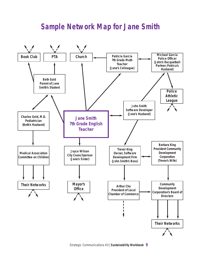### **Sample Network Map for Jane Smith**

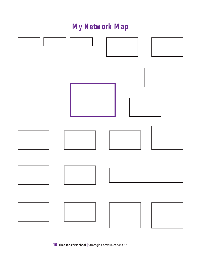# **My Network Map**

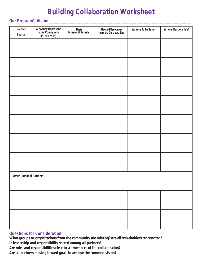# **Building Collaboration Worksheet**

#### **Our Program's Vision:\_\_\_\_\_\_\_\_\_\_\_\_\_\_\_\_\_\_\_\_\_\_\_\_\_\_\_\_\_\_\_\_\_\_\_\_\_\_\_\_\_\_\_\_\_\_\_\_\_\_\_\_\_\_\_\_\_\_\_\_\_\_**

| Partner<br>Source               | Who they Represent<br>in the Community<br>(ie. business) | Their<br>Mission/Interests | Needed Resources<br>from the Collaboration | Actions to be Taken | Who is Responsible? |
|---------------------------------|----------------------------------------------------------|----------------------------|--------------------------------------------|---------------------|---------------------|
|                                 |                                                          |                            |                                            |                     |                     |
|                                 |                                                          |                            |                                            |                     |                     |
|                                 |                                                          |                            |                                            |                     |                     |
|                                 |                                                          |                            |                                            |                     |                     |
|                                 |                                                          |                            |                                            |                     |                     |
|                                 |                                                          |                            |                                            |                     |                     |
|                                 |                                                          |                            |                                            |                     |                     |
|                                 |                                                          |                            |                                            |                     |                     |
|                                 |                                                          |                            |                                            |                     |                     |
|                                 |                                                          |                            |                                            |                     |                     |
|                                 |                                                          |                            |                                            |                     |                     |
|                                 |                                                          |                            |                                            |                     |                     |
|                                 |                                                          |                            |                                            |                     |                     |
|                                 |                                                          |                            |                                            |                     |                     |
|                                 |                                                          |                            |                                            |                     |                     |
|                                 |                                                          |                            |                                            |                     |                     |
| <b>Other Potential Partners</b> |                                                          |                            |                                            |                     |                     |
|                                 |                                                          |                            |                                            |                     |                     |
|                                 |                                                          |                            |                                            |                     |                     |
|                                 |                                                          |                            |                                            |                     |                     |
|                                 |                                                          |                            |                                            |                     |                     |
|                                 |                                                          |                            |                                            |                     |                     |
|                                 |                                                          |                            |                                            |                     |                     |

#### **Questions for Consideration:**

**What groups or organizations from the community are missing? Are all stakeholders represented? Is leadership and responsibility shared among all partners? Are roles and responsibilities clear to all members of the collaboration? Are all partners moving toward goals to achieve the common vision?**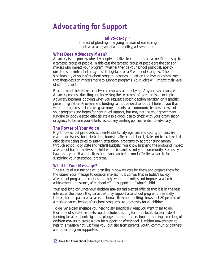### **Advocating for Support**

#### **ad•vo•ca•cy***: n.*

The act of pleading or arguing in favor of something, such as a cause, an idea, or a policy; active support.

#### **What Does Advocacy Mean?**

Advocacy is the process whereby people mobilize to communicate a specific message to a targeted group of people. In this case the targeted group of people are the decision makers who impact your program, whether they be your school principal, agency director, superintendent, mayor, state legislator or a Member of Congress. The sustainability of your afterschool program depends in part on the level of commitment that these decision makers make to support programs. Your voice will impact their level of commitment.

Bear in mind the difference between advocacy and lobbying. Anyone can advocate. Advocacy means educating and increasing the awareness of a certain issue or topic. Advocacy becomes lobbying when you request a specific action be taken on a specific piece of legislation. Government funding cannot be used to lobby. Those of you that work in programs that receive government grants can communicate the successes of your programs and hopes for continued support, but may not use your government funding to lobby elected officials. It's also a good idea to check with your organization or agency to be sure your efforts respect any existing policies related to advocacy.

#### **The Power of Your Voice**

Right now school principals, superintendents, city agencies and county officials are making decisions about dedicating funds to afterschool. Local, state and federal elected officials are being asked to sustain afterschool programs by appropriating money through school, city, state and federal budgets. You know firsthand the profound impact afterschool has on the lives of children, their families and your community. Because you have a story to tell about afterschool, you can be the most effective advocate for sustaining your afterschool program.

#### **What Is Your Message?**

The future of our nation's children lies in how we care for them and prepare them for the future. Your message to decision makers must convey that in today's society, afterschool programs keep kids safe, help working families and improve academic achievement. In essence, afterschool efforts support the "whole" child.

Your goal is to convince your decision makers and elected officials that it is in the best interest of the people they serve that they support afterschool programs financially. Indeed, for the past several years, national afterschool polling shows that 80 percent of American voters believe afterschool programs are a necessity for all children.

To deliver a clear message you need to say specifically what you want them to do. Examples of specific requests could include: pushing for more local, state or federal funding for afterschool; signing a pledge to support afterschool; or hosting a meeting of decision makers to create a plan for supporting afterschool. Decision makers need to hear this message not just from you, but also from parents, youth, community partners and other program supporters.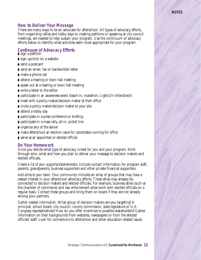#### **How to Deliver Your Message**

There are many ways to be an advocate for afterschool. All types of advocacy efforts, from organizing rallies and lobby days to creating petitions or speaking at city council meetings, are needed to help sustain your program. Use the continuum of advocacy efforts below to identify what activities seem most appropriate for your program.

**NOTES**

#### **Continuum of Advocacy Efforts**

- $\blacktriangleright$  sign a petition
- sign up/click on a website
- send a postcard
- send an email, fax or handwritten letter
- make a phone call
- $\blacktriangleright$  attend a hearing or town hall meeting
- speak out at a hearing or town hall meeting
- write a letter to the editor
- participate in an awareness event (teach-in, marathon, *Lights On Afterschool!*)
- meet with a policy maker/decision maker at their office
- $\blacktriangleright$  invite a policy maker/decision maker to your site
- $\blacktriangleright$  attend a lobby day
- participate in a press conference or briefing
- $\blacktriangleright$  participate in a mass rally, sit-in, picket line
- organize any of the above
- make afterschool an election issue for candidates running for office
- serve as an appointed or elected official

#### **Do Your Homework**

Once you decide what type of advocacy is best for you and your program, think through who, what and how you plan to deliver your message to decision makers and elected officials.

*Create a list of your supporters/stakeholders*. Include contact information for program staff, parents, grandparents, business supporters and other private financial supporters.

*Add allies to your team*. Your community includes an array of groups that may have a vested interest in your afterschool advocacy efforts. These allies may already be connected to decision makers and elected officials. For example, business allies (such as the chamber of commerce) and law enforcement allies work with elected officials on a regular basis. Contact these groups and bring them on board if they are not already among your partners.

*Gather needed information*. What group of decision makers are you targeting? A principal, school board, city council, county commission, state legislature or U.S. Congress representatives? How do you offer incentives to possible stakeholders? Gather information on their backgrounds from websites, newspapers or from the elected officials' staff. Look for connections to afterschool and other education-related issues.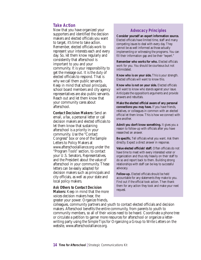#### **Take Action**

Now that you have organized your supporters and identified the decision makers and elected officials you want to target, it's time to take action. Remember, elected officials work to represent your interests each and every day. So, let them know regularly and consistently that afterschool is important to you and your community. It is your responsibility to get the message out. It is the duty of elected officials to respond. That is why we call them public servants. Keep in mind that school principals, school board members and city agency representatives are also public servants. Reach out and let them know that your community cares about afterschool.

**Contact Decision Makers:** Send an email, a fax, a personal letter or call decision makers and elected officials to let them know that sustaining afterschool is a priority in your community. Use the "Contact Congress" box or one of the Sample Letters to Policy Makers at www.afterschoolalliance.org under the "Program Tools" section, to contact your U.S. Senators, Representatives, and the President about the value of afterschool in your community. These letters can be easily adapted for decision makers such as principals and city officials, as well as your state and local policy makers.

**Ask Others to Contact Decision Makers:** Keep in mind that the more voices decision makers hear, the greater your power. Organize friends,

#### **Advocacy Principles**

**Consider yourself an expert information source.** Elected officials have limited time, staff and many competing issues to deal with every day. They cannot be as well informed as those actually implementing or witnessing the programs. You can fill their information gap and be their "expert."

**Remember who works for who.** Elected officials work for you. You should be courteous but not intimidated.

**Know who is on your side.** This is your strength. Elected officials will want to know this.

**Know who is not on your side.** Elected officials will want to know who stands against your issue. Anticipate the opposition's arguments and provide answers and rebuttals.

**Make the elected official aware of any personal connections you may have.** If you have friends, relatives, or colleagues in common with an elected official let them know. This is how we connect with one another.

**Admit you don't know something.** It gives you a reason to follow-up with officials after you have researched an answer.

**Be specific.** Tell officials what you want. Ask them directly. Expect a direct answer in response.

**Value elected officials' staff.** Often officials do not have time to meet with every interested voter or organization and thus rely heavily on their staff to do so and report back to them. Building strong relationships with staff can be key to successful advocacy.

**Follow-up.** Elected officials should be held accountable for any statements they make to you. Find out if the official took action. Then thank them for any action they took and make your next request.

colleagues, community partners and youth to contact elected officials and decision makers. Afterschool benefits the entire community, from parents to youth to community members, so all of their voices need to be heard. Coordinate a phone tree or circulate a petition to garner more resources for afterschool or organize a letterwriting party using the Simple Tips for Organizing a Group to Write Letters on the website, www.afterschoolalliance.org.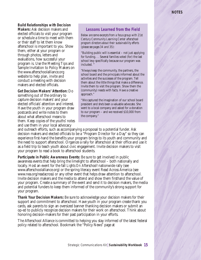#### **NOTES**

**Build Relationships with Decision**

**Makers:** Ask decision makers and elected officials to visit your program or schedule a time to meet with them or their staff to let them know afterschool is important to you. Show them, either at your program or through photos, letters and evaluations, how successful your program is. Use the Meeting Tips and Sample Invitation to Policy Makers on the www.afterschoolalliance.org website to help plan, invite and conduct a meeting with decision makers and elected officials.

**Get Decision Makers' Attention:** Do something out of the ordinary to capture decision makers' and your elected officials' attention and interest. Have the youth in your program draw postcards and write notes to them about what afterschool means to them. Keep copies of the youths' notes and use them in your local advocacy

#### **Lessons Learned from the Field**

*Below are some excerpts from a focus group with 21st Century Community Learning Center afterschool program directors about their sustainability efforts (please see pages 34 and 35)*:

"Building public will is essential – not just applying for funding. . . Several families voted (for) the last school levy specifically because our program was included.

"Always keep the community, the partners, the school board and the principals informed about the activities and the successes of the program. Tell them about the little things that make a difference. Invite them to visit the program. Show them the (community) needs with facts. Have a creative approach."

"We captured the imagination of our school board president and she's been a valuable advocate. She went to a local company and asked for a donation to our program – and we received \$10,000 from the company."

and outreach efforts, such as accompanying a proposal to a potential funder. Ask decision makers and elected officials to be a "Program Director for a Day" so they can experience first-hand the benefits your program brings to its youth and community and the need to support afterschool. Organize a rally for afterschool at their office and use it as a field trip to teach youth about civic engagement. Invite decision makers to visit your program to read a book to afterschool students.

**Participate in Public Awareness Events:** Be sure to get involved in public awareness events that help bring the limelight to afterschool – both nationally and locally. Host an event for the fall *Lights On Afterschool!* nationwide rally (see www.afterschoolalliance.org) or the spring literacy event Read Across America (see www.nea.org/readacross) or any other event that helps draw attention to afterschool. Invite decision makers and the media to attend and show them firsthand the value of your program. Create a summary of the event and send it to decision makers, the media and potential funders to keep them informed of the community's strong support for your program.

**Thank Your Decision Makers:** Be sure to acknowledge your decision makers for their support and commitment to afterschool. Have youth in your program create thank you cards, ask parents to sign an oversized banner thanking decision makers or submit an op-ed to publicly recognize decision makers for their work on afterschool. Think about honoring decision-makers for their past participation in your efforts.

The Afterschool Alliance is committed to helping you stay informed of the latest federal policy related to afterschool. Bookmark the "Policy News" page at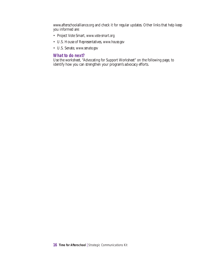www.afterschoolalliance.org and check it for regular updates. Other links that help keep you informed are:

- Project Vote Smart, *www.vote-smart.org*
- U.S. House of Representatives, *www.house.gov*
- U.S. Senate, *www.senate.gov*

#### **What to do next?**

Use the worksheet, "Advocating for Support Worksheet" on the following page, to identify how you can strengthen your program's advocacy efforts.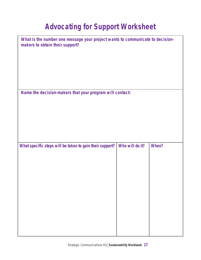# **Advocating for Support Worksheet**

| What is the number one message your project wants to communicate to decision-<br>makers to obtain their support? |                 |       |
|------------------------------------------------------------------------------------------------------------------|-----------------|-------|
|                                                                                                                  |                 |       |
|                                                                                                                  |                 |       |
|                                                                                                                  |                 |       |
| Name the decision-makers that your program will contact:                                                         |                 |       |
|                                                                                                                  |                 |       |
|                                                                                                                  |                 |       |
|                                                                                                                  |                 |       |
| What specific steps will be taken to gain their support?                                                         | Who will do it? | When? |
|                                                                                                                  |                 |       |
|                                                                                                                  |                 |       |
|                                                                                                                  |                 |       |
|                                                                                                                  |                 |       |
|                                                                                                                  |                 |       |
|                                                                                                                  |                 |       |
|                                                                                                                  |                 |       |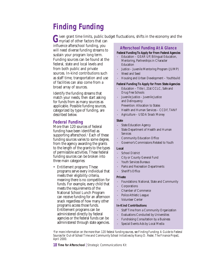## **Finding Funding**

Given grant time limits, public budget fluctuations, shifts in the economy and the myriad of other factors that can

influence afterschool funding, you will need diverse funding streams to sustain your program long term. Funding sources can be found at the federal, state and local levels and from both public and private sources. In-kind contributions such as staff time, transportation and use of facilities can also come from a broad array of sources.

Identify the funding streams that match your needs, then start asking for funds from as many sources as applicable. Possible funding sources, categorized by type of funding, are described below.

#### **Federal Funding**

More than 120 sources of federal funding have been identified as supporting afterschool. $<sup>1</sup>$  Each of these</sup> funding sources varies to some degree, from the agency awarding the grants to the length of the grants to the types of permissible activities. These federal funding sources can be broken into three main categories:

• *Entitlement programs:* These programs serve every individual that meets their eligibility criteria, meaning there is no competition for funds. For example, every child that meets the requirements of the National School Lunch Program can receive funding for an afternoon snack regardless of how many other programs access those funds. Entitlement programs can be administered directly by federal agencies or the federal funds can be administered through state agencies.

#### **Afterschool Funding At A Glance**

#### **Federal Funding To Apply for From Federal Agencies**

- Education GEAR UP, Bilingual Education, Mentoring, Partnerships in Character **Education**
- Justice Juvenile Mentoring Program (JUMP)
- Weed and Seed
- Housing and Urban Development Youthbuild

#### **Federal Funding To Apply for From State Agencies**

- Education Title I, 21st CCLC, Safe and Drug Free Schools
- Juvenile Justice Juvenile Justice and Delinquency
	- Prevention: Allocation to States
- Health and Human Services CCDF, TANF
- Agriculture USDA Snack Money

#### **State**

- State Education Agency
- State Department of Health and Human Services
- Community Education Office
- Governor's Commissions Related to Youth

#### **Local**

- School District
- City or County General Fund
- Youth Services Bureaus
- Parks and Recreation Departments
- Sheriff's Office

#### **Private**

- Foundations: National, State and Community
- **Corporations**
- Chamber of Commerce
- Police Athletic League
- Volunteer Center

#### **In-Kind Contributions**

- Staff Time from a Community Organization
- Evaluations Conducted by Universities
- Fundraising Consultation by a Business
- Special Events Ads by Local Media

*1 For more information on the more than 120 federal funding sources, see Finding Funding: A Guide to Federal Sources for Out-of-School Time and Community School Initiatives by Nancy D. Reder, The Finance Project, April 2000.*

**18 Time for Afterschool** | Strategic Communications Kit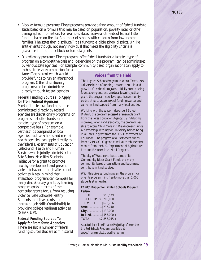• *Block or formula programs:* These programs provide a fixed amount of federal funds to states based on a formula that may be based on population, poverty rates, or other demographic information. For example, states receive allotments of federal Title I funding based on the state's number of schools with children from low-income families. The states then distribute Title I funds to eligible school districts. Unlike entitlements though, not every individual that meets the eligibility criteria is guaranteed funds under block or formula grants.

• *Discretionary programs:* These programs offer federal funds for a targeted type of program on a competitive basis and, depending on the program, can be administered by various state agencies. For example, community-based organizations can apply to

their state service commission for an AmeriCorps grant which would provide funds to run an afterschool program. Other discretionary programs can be administered directly through federal agencies.

#### **Federal Funding Sources To Apply for From Federal Agencies** Most of the federal funding sources administered directly by federal agencies are discretionary programs, or programs that offer funds for a targeted type of program on a competitive basis. For example, partnerships comprised of local agencies, such as schools and mental health agencies, can apply directly to the federal Departments of Education, Justice and Health and Human Services which jointly administer the Safe Schools/Healthy Students Initiative for a grant to promote healthy development and prevent violent behavior through afterschool activities. Keep in mind that afterschool programs can compete for many discretionary grants by framing program goals in terms of the particular grant's focus, from reducing violence (Safe Schools/Healthy Students Initiative grants) to increasing job skills (Youthbuild) to providing college readiness activities (GEAR UP).

**Federal Funding Sources To Apply for From State Agencies** There are also a number of federal funding sources that are administered

#### **Voices from the Field**

The Lighted Schools Program in Waco, Texas, uses a diverse blend of funding streams to sustain and grow its afterschool program. Initially created using foundation grants and a federal juvenile justice grant, the program now leverages its community partnerships to access several funding sources and garner in-kind support from many local entities.

Working with the Waco Independent School District, the program accessed a renewable grant from the Texas Education Agency. By instituting more regulations and standards, the program was able to access Child Care and Development Funds. A partnership with Baylor University helped bring in a Gear Up grant from the U.S. Department of Education. The program also uses federal funds from a 21st CCLC grant as well as reimbursement monies from the U.S. Department of Agriculture's Free and Reduced Price Meal Program.

The city of Waco contributes some of its Community Block Grant Funds and many community-based organizations and businesses contribute in-kind services.

With this diverse funding plan, the program can offer its programming free to more than 1,000 students at nine sites.

#### **FY 2001 Budget for Lighted Schools Program Federal**

| CCDF\$55,579         |               |
|----------------------|---------------|
| GEAR UP\$1,200,000   |               |
| 21st CCLC  \$676,726 |               |
| State  \$235,740     |               |
| City \$132,000       |               |
| In-kind \$557,000+   |               |
| <b>TOTAL</b>         | $$2,857,045+$ |

*Adapted from The Finance Project's profile on the Lighted Schools Program, available at www.financeproject.org/osthome.htm*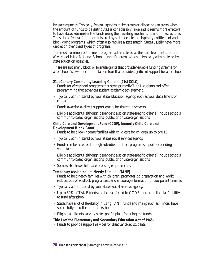by state agencies. Typically, federal agencies make grants or allocations to states when the amount of funds to be distributed is considerably large and it seems more effective to have states administer the funds using their existing mechanisms and infrastructures. These large federal funds administered by state agencies are typically entitlement and block grant programs, which often also require a state match. States usually have more discretion over these types of programs.

The most common entitlement program administered at the state level that supports afterschool is the National School Lunch Program, which is typically administered by state education agencies.

There are also many block or formula grants that provide valuable funding streams for afterschool. We will focus in detail on four that provide significant support for afterschool.

#### **21st Century Community Learning Centers (21st CCLC)**

- Funds for afterschool programs that serve primarily Title I students and offer programming that advances student academic achievement.
- Typically administered by your state education agency, such as your department of education.
- Funds awarded as direct support grants for three to five years.
- Eligible applicants (although dependent also on state-specific criteria) include schools, community-based organizations, public or private organizations.

#### **Child Care and Development Fund (CCDF), formerly Child Care and Development Block Grant**

- Funds to help low-income families with child care for children up to age 12.
- Typically administered by your state's social services agency.
- Funds can be accessed through subsidies or direct program support, depending on your state.
- Eligible applicants (although dependent also on state-specific criteria) include schools, community-based organizations, public or private organizations.
- Some states have child-care licensing requirements.

#### **Temporary Assistance to Needy Families (TANF)**

- Funds to help needy families with children; promotes job preparation and work; reduces out-of-wedlock pregnancies; and encourages formation of two-parent families.
- Typically administered by your state's social services agency.
- Up to 30% of TANF funds can be transferred to CCDF, increasing the state's ability to fund afterschool.
- States have a lot of flexibility in using TANF funds and many, such as Illinois, have successfully used them for afterschool.
- Eligible applicants vary by state-specific plans for using the funds.

#### **Title I (of the Elementary and Secondary Education Act of 1965)**

• Funds to provide support services for disadvantaged students.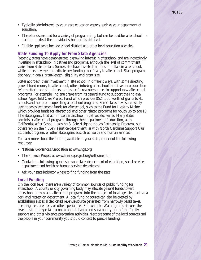- Typically administered by your state education agency, such as your department of education.
- These funds are used for a variety of programming, but can be used for afterschool a decision made at the individual school or district level.
- Eligible applicants include school districts and other local education agencies.

#### **State Funding To Apply for From State Agencies**

Recently, states have demonstrated a growing interest in afterschool and are increasingly investing in afterschool initiatives and programs, although the level of commitment varies from state to state. Some states have invested millions of dollars in afterschool, while others have yet to dedicate any funding specifically to afterschool. State programs also vary in goals, grant-length, eligibility and grant size.

States approach their investment in afterschool in different ways, with some directing general fund money to afterschool, others infusing afterschool initiatives into education reform efforts and still others using specific revenue sources to support new afterschool programs. For example, Indiana draws from its general fund to support the Indiana School Age Child Care Project Fund which provides \$524,000 worth of grants to 41 schools and nonprofits operating afterschool programs. Some states have successfully used tobacco settlement funds for afterschool, such as the Fund for Healthy Maine which provides funds for afterschool and other related programs for youth up to age 15. The state agency that administers afterschool initiatives also varies. Many states administer afterschool programs through their department of education, as in California's After School Learning & Safe Neighborhoods Partnership Program, but others rely on their juvenile justice department, as with North Carolina's Support Our Students program, or other state agencies such as health and human services.

To learn more about the funding available in your state, check out the following resources:

- National Governors Association at www.nga.org
- The Finance Project at www.financeproject.org/osthome.htm
- Contact the following agencies in your state: department of education, social services department and health or human services department
- Ask your state legislator where to find funding from the state

#### **Local Funding**

On the local level, there are a variety of common sources of public funding for afterschool. A county or city governing body may allocate general funds toward afterschool or may add afterschool programs into the budgets of local agencies, such as a park and recreation department. A local funding source can also be created by establishing a special dedicated revenue source generated from narrowly based taxes, licensing fees, user fees, or other special fees. For example, Washington state uses the revenues from a special tax on alcohol, tobacco and soda pop syrup to fund family support and other violence prevention activities. Next are some of the local sources and the people in your community you should contact to pursue funding: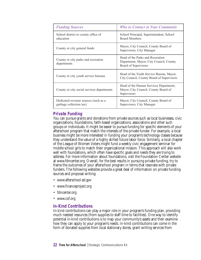| <b>Funding Sources</b>                                          | Who to Contact in Your Community                                                                    |
|-----------------------------------------------------------------|-----------------------------------------------------------------------------------------------------|
| School district or county office of<br>education                | School Principal, Superintendent, School<br><b>Board Members</b>                                    |
| County or city general funds                                    | Mayor, City Council, County Board of<br>Supervisors, City Manager                                   |
| County or city parks and recreation<br>departments              | Head of the Parks and Recreation<br>Department, Mayor, City Council, County<br>Board of Supervisors |
| County or city youth service bureaus                            | Head of the Youth Service Bureau, Mayor,<br>City Council, County Board of Supervisors               |
| County or city social services departments                      | Head of the Human Services Department,<br>Mayor, City Council, County Board of<br>Supervisors       |
| Dedicated revenue sources (such as a<br>garbage collection tax) | Mayor, City Council, County Board of<br>Supervisors, City Manager                                   |

#### **Private Funding**

You can pursue grants and donations from private sources such as local businesses, civic organizations, foundations, faith-based organizations, associations and other such groups or individuals. It might be easier to pursue funding for specific elements of your afterschool program that match the interests of the private funder. For example, a local business might be more interested in funding your program's technology classes because they understand the value of a highly skilled future labor force. Similarly, a local chapter of the League of Women Voters might fund a weekly civic engagement seminar for middle school girls to match their organizational mission. This approach will also work well with foundations, which often have specific goals and needs they are trying to address. For more information about foundations, visit the Foundation Center website at www.fdncenter.org. Overall, for the best results in pursuing private funding, try to frame the outcomes of your afterschool program in terms that resonate with private funders. The following websites provide a great deal of information on private funding sources and proposal writing:

- www.afterschool.ed.gov
- www.financeproject.org
- fdncenter.org
- www.cof.org

#### **In-Kind Contributions**

In-kind contributions can play a major role in your program's funding plan, providing much needed resources (from supplies to staff time to facilities). One way to identify potential in-kind contributions is to map your community's assets and then examine how they can apply to your program's needs. In-kind contributions can come in the form of donated supplies from local stationary stores, grant writing services from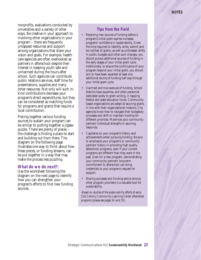nonprofits, evaluations conducted by universities and a variety of other ways. Be creative in your approach to involving other organizations in your program – there are frequently untapped resources and support among organizations that share your vision and goals. For example, health care agencies are often overlooked as partners in afterschool despite their interest in keeping youth safe and unharmed during the hours after school. Such agencies can contribute public relations services, staff time for presentations, supplies and many other resources. Not only will such inkind contributions decrease your program's direct expenditures, but they can be considered as matching funds for programs and grants that require a local contribution.

Piecing together various funding sources to sustain your program can be similar to putting together a jigsaw puzzle. There are plenty of pieces – the challenge is finding a place to start and building out from there. The diagram on the following page illustrates one way to think about how these pieces, or funding streams, can be put together in a way that may make the process less puzzling.

#### **What do we do next?:**

Use the worksheet following the diagram on the next page to identify how you can strengthen your program's efforts to find new funding sources.

#### **Tips from the Field**

- Receiving new sources of funding before a program's initial grant expires increases programs' confidence in sustainability. Given the time required to identify, write, submit and be notified of grants, as well as unforeseen shifts in public budgets and other such changes, you should pursue additional sources of funding in the early stages of your initial grant cycle. Additionally, to ensure the continuance of your program beyond your initial grant, you should aim to have been awarded at least one additional source of funding half way through your initial grant cycle.
- Use tried and true avenues of funding. School districts have expertise, and often personnel dedicated solely to grant writing, in tapping federal and state education funds. Communitybased organizations are adept at securing grants in line with their organizational missions. City agencies know how to navigate their budgetary processes and shift or maintain funding for different priorities. Maximize your community partners' individual strengths in securing resources.
- Capitalize on your program's history and achievements when pursuing funding. Be sure to emphasize your program's or community partners' history in providing high quality afterschool programs, even if your current programs are different than they were in the past. Even for a new program, demonstrating your community partners' long-term commitment to afterschool can bring credentials to your program's request for support.
- Sharing successes and funding advice among other program providers is a valuable tool for sustainability.

*-Based on studies of the sustainability efforts of early 21st Century Community Learning Center afterschool programs (please see pages 34 and 35).*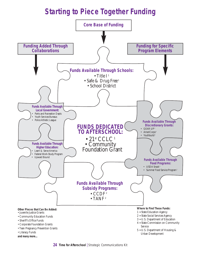# **Starting to Piece Together Funding**

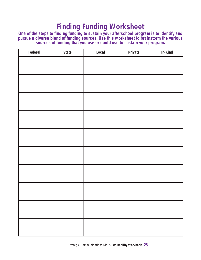### **Finding Funding Worksheet**

**One of the steps to finding funding to sustain your afterschool program is to identify and pursue a diverse blend of funding sources. Use this worksheet to brainstorm the various sources of funding that you use or could use to sustain your program.**

| Federal | <b>State</b> | Local | Private | In-Kind |
|---------|--------------|-------|---------|---------|
|         |              |       |         |         |
|         |              |       |         |         |
|         |              |       |         |         |
|         |              |       |         |         |
|         |              |       |         |         |
|         |              |       |         |         |
|         |              |       |         |         |
|         |              |       |         |         |
|         |              |       |         |         |
|         |              |       |         |         |
|         |              |       |         |         |
|         |              |       |         |         |
|         |              |       |         |         |
|         |              |       |         |         |
|         |              |       |         |         |
|         |              |       |         |         |
|         |              |       |         |         |
|         |              |       |         |         |
|         |              |       |         |         |
|         |              |       |         |         |
|         |              |       |         |         |
|         |              |       |         |         |
|         |              |       |         |         |
|         |              |       |         |         |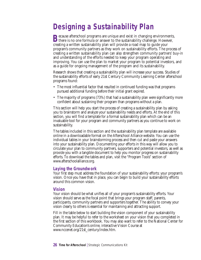### **Designing a Sustainability Plan**

**B**ecause afterschool programs are unique and exist in changing environments,<br>there is no one formula or answer to the sustainability challenge. However, creating a written sustainability plan will provide a road map to guide your program's community partners as they work on sustainability efforts. The process of creating a written sustainability plan can also strengthen community partners' buy-in and understanding of the efforts needed to keep your program operating and improving. You can use the plan to market your program to potential investors, and as a guide for ongoing management of the program and its sustainability.

Research shows that creating a sustainability plan will increase your success. Studies of the sustainability efforts of early 21st Century Community Learning Center afterschool programs found:

- The most influential factor that resulted in continued funding was that programs pursued additional funding before their initial grant expired.
- The majority of programs (73%) that had a sustainability plan were significantly more confident about sustaining their program than programs without a plan.

This section will help you start the process of creating a sustainability plan by asking you to brainstorm and analyze your sustainability needs and efforts. At the end of this section, you will find a template for a formal sustainability plan which can be an invaluable tool for your program and community partners as you continue to work on sustainability.

The tables included in this section and the sustainability plan template are available online in a downloadable format on the Afterschool Alliance website. You can use the individual tables in your brainstorming process and then cut and paste your answers into your sustainability plan. Documenting your efforts in this way will allow you to circulate your plan to community partners, supporters and potential investors, as well as provide you with a tangible document to help you monitor progress on sustainability efforts. To download the tables and plan, visit the "Program Tools" section of www.afterschoolalliance.org.

#### **Laying the Groundwork**

Your first step must address the foundation of your sustainability efforts: your program's vision. Once you have that in place, you can begin to build your sustainability efforts around this common vision.

#### **Vision**

Your vision should be what unifies all of your program's sustainability efforts. Your vision should serve as the focal point that brings your program staff, parents, participants, community partners and supporters together. The ability to convey your vision clearly to others is essential for maintaining and attracting support.

Fill in the table below to start building the vision component of your sustainability plan. It may be helpful to refer to the worksheet on your vision that you completed in the first section of this workbook. You may also want to refer to the National Center for Community Education's online, interactive Vision Course at www.nccenet.org/21st\_century/index.htm.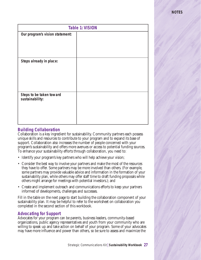| <b>Table 1: VISION</b>                      |  |  |  |  |
|---------------------------------------------|--|--|--|--|
| Our program's vision statement:             |  |  |  |  |
|                                             |  |  |  |  |
|                                             |  |  |  |  |
|                                             |  |  |  |  |
| Steps already in place:                     |  |  |  |  |
|                                             |  |  |  |  |
|                                             |  |  |  |  |
|                                             |  |  |  |  |
|                                             |  |  |  |  |
| Steps to be taken toward<br>sustainability: |  |  |  |  |
|                                             |  |  |  |  |
|                                             |  |  |  |  |
|                                             |  |  |  |  |
|                                             |  |  |  |  |

#### **Building Collaboration**

Collaboration is a key ingredient for sustainability. Community partners each possess unique skills and resources to contribute to your program and to expand its base of support. Collaboration also increases the number of people concerned with your program's sustainability and offers more avenues or access to potential funding sources. To enhance your sustainability efforts through collaboration, you need to:

- Identify your program's key partners who will help achieve your vision;
- Consider the best way to involve your partners and make the most of the resources they have to offer. Some partners may be more involved than others. (For example, some partners may provide valuable advice and information in the formation of your sustainability plan, while others may offer staff time to draft funding proposals while others might arrange for meetings with potential investors.); and
- Create and implement outreach and communications efforts to keep your partners informed of developments, challenges and successes.

Fill in the table on the next page to start building the collaboration component of your sustainability plan. It may be helpful to refer to the worksheet on collaboration you completed in the second section of this workbook.

#### **Advocating for Support**

Advocates for your program can be parents, business leaders, community-based organizations, public agency representatives and youth from your community who are willing to speak up and take action on behalf of your program. Some of your advocates may have more influence and power than others, so be sure to assess and maximize the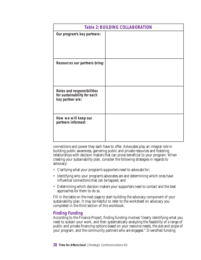|                                                                               | <b>Table 2: BUILDING COLLABORATION</b> |
|-------------------------------------------------------------------------------|----------------------------------------|
| Our program's key partners:                                                   |                                        |
| Resources our partners bring:                                                 |                                        |
| Roles and responsibilities<br>for sustainability for each<br>key partner are: |                                        |
| How we will keep our<br>partners informed:                                    |                                        |

connections and power they each have to offer. Advocates play an integral role in building public awareness, garnering public and private resources and fostering relationships with decision makers that can prove beneficial to your program. When creating your sustainability plan, consider the following strategies in regards to advocacy:

- Clarifying what your program's supporters need to advocate for;
- Identifying who your program's advocates are and determining which ones have influential connections that can be tapped; and
- Determining which decision makers your supporters need to contact and the best approaches for them to do so.

Fill in the table on the next page to start building the advocacy component of your sustainability plan. It may be helpful to refer to the worksheet on advocacy you completed in the third section of this workbook.

#### **Finding Funding**

According to the Finance Project, finding funding involves "clearly identifying what you need to sustain your work, and then systematically analyzing the feasibility of a range of public and private financing options based on your resource needs, the size and scope of your program, and the community partners who are engaged." Diversified funding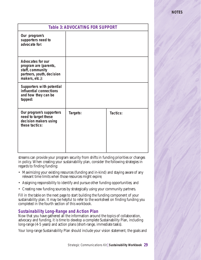| <b>Table 3: ADVOCATING FOR SUPPORT</b>                                                                               |          |                 |  |  |
|----------------------------------------------------------------------------------------------------------------------|----------|-----------------|--|--|
| Our program's<br>supporters need to<br>advocate for:                                                                 |          |                 |  |  |
| <b>Advocates for our</b><br>program are (parents,<br>staff, community<br>partners, youth, decision<br>makers, etc.): |          |                 |  |  |
| <b>Supporters with potential</b><br>influential connections<br>and how they can be<br>tapped:                        |          |                 |  |  |
| Our program's supporters<br>need to target these<br>decision makers using<br>these tactics:                          | Targets: | <b>Tactics:</b> |  |  |

streams can provide your program security from shifts in funding priorities or changes in policy. When creating your sustainability plan, consider the following strategies in regards to finding funding:

- Maximizing your existing resources (funding and in-kind) and staying aware of any relevant time limits when those resources might expire;
- Assigning responsibility to identify and pursue other funding opportunities; and
- Creating new funding sources by strategically using your community partners.

Fill in the table on the next page to start building the funding component of your sustainability plan. It may be helpful to refer to the worksheet on finding funding you completed in the fourth section of this workbook.

#### **Sustainability Long-Range and Action Plan**

Now that you have gathered all the information around the topics of collaboration, advocacy and funding, it is time to develop a complete Sustainability Plan, including long-range (4-5 years) and action plans (short-range, immediate tasks).

Your long-range Sustainability Plan should include your vision statement; the goals and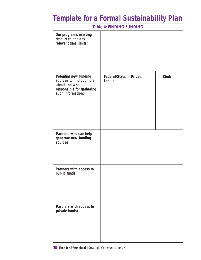# **Template for a Formal Sustainability Plan**

| <b>Table 4: FINDING FUNDING</b>                                                                                                |                          |          |          |  |
|--------------------------------------------------------------------------------------------------------------------------------|--------------------------|----------|----------|--|
| Our program's existing<br>resources and any<br>relevant time limits:                                                           |                          |          |          |  |
| <b>Potential new funding</b><br>sources to find out more<br>about and who is<br>responsible for gathering<br>such information: | Federal/State/<br>Local: | Private: | In-Kind: |  |
| Partners who can help<br>generate new funding<br>sources:                                                                      |                          |          |          |  |
| Partners with access to<br>public funds:                                                                                       |                          |          |          |  |
| Partners with access to<br>private funds:                                                                                      |                          |          |          |  |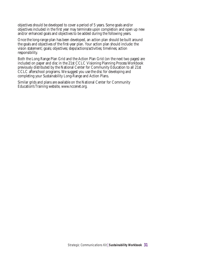objectives should be developed to cover a period of 5 years. Some goals and/or objectives included in the first year may terminate upon completion and open up new and/or enhanced goals and objectives to be added during the following years.

Once the long-range plan has been developed, an action plan should be built around the goals and objectives of the first-year plan. Your action plan should include: the vision statement; goals; objectives; steps/actions/activities; timelines; action responsibility.

Both the Long Range Plan Grid and the Action Plan Grid (on the next two pages) are included on paper and disc in the 21st CCLC Visioning Planning Process Workbook previously distributed by the National Center for Community Education to all 21st CCLC afterschool programs. We suggest you use the disc for developing and completing your Sustainability Long-Range and Action Plans.

Similar grids and plans are available on the National Center for Community Education's Training website, www.nccenet.org.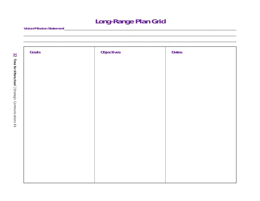### **Long-Range Plan Grid**

<u> 1980 - Jan Barbarat, martin a</u>

| Goals | <b>Objectives</b> | <b>Dates</b> |
|-------|-------------------|--------------|
|       |                   |              |
|       |                   |              |
|       |                   |              |
|       |                   |              |
|       |                   |              |
|       |                   |              |
|       |                   |              |
|       |                   |              |
|       |                   |              |
|       |                   |              |
|       |                   |              |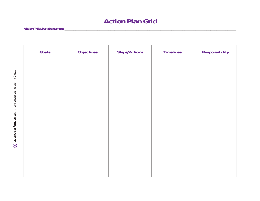### **Action Plan Grid**

\_\_\_\_\_\_\_\_\_\_\_\_\_\_\_\_\_\_\_\_\_\_\_\_\_\_\_\_\_\_\_\_\_\_\_\_\_\_\_\_\_\_\_\_\_\_\_\_\_\_\_\_\_\_\_\_\_\_\_\_\_\_\_\_\_\_\_\_\_\_\_\_\_\_\_\_\_\_\_\_\_\_\_\_\_\_\_\_\_\_\_\_\_\_\_\_\_\_ \_\_\_\_\_\_\_\_\_\_\_\_\_\_\_\_\_\_\_\_\_\_\_\_\_\_\_\_\_\_\_\_\_\_\_\_\_\_\_\_\_\_\_\_\_\_\_\_\_\_\_\_\_\_\_\_\_\_\_\_\_\_\_\_\_\_\_\_\_\_\_\_\_\_\_\_\_\_\_\_\_\_\_\_\_\_\_\_\_\_\_\_\_\_\_\_\_\_

| Goals | <b>Objectives</b> | <b>Steps/Actions</b> | <b>Timelines</b> | <b>Responsibility</b> |
|-------|-------------------|----------------------|------------------|-----------------------|
|       |                   |                      |                  |                       |
|       |                   |                      |                  |                       |
|       |                   |                      |                  |                       |
|       |                   |                      |                  |                       |
|       |                   |                      |                  |                       |
|       |                   |                      |                  |                       |
|       |                   |                      |                  |                       |
|       |                   |                      |                  |                       |
|       |                   |                      |                  |                       |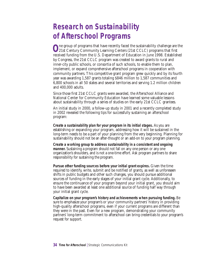### **Research on Sustainability of Afterschool Programs**

**O**ne group of programs that have recently faced the sustainability challenge are the 21st Century Community Learning Centers (21st CCLC) programs that first received funding from the U.S. Department of Education in June 1998. Established by Congress, the 21st CCLC program was created to award grants to rural and inner-city public schools, or consortia of such schools, to enable them to plan, implement, or expand comprehensive afterschool programs in cooperation with community partners. This competitive grant program grew quickly and by its fourth year was awarding 1,587 grants totaling \$846 million to 1,587 communities and 6,800 schools in all 50 states and several territories and serving 1.2 million children and 400,000 adults.

Since those first 21st CCLC grants were awarded, the Afterschool Alliance and National Center for Community Education have learned some valuable lessons about sustainability through a series of studies on the early 21st CCLC grantees.

An initial study in 2000, a follow-up study in 2001 and a recently completed study in 2002 revealed the following tips for successfully sustaining an afterschool program:

**Create a sustainability plan for your program in its initial stages.** As you are establishing or expanding your program, addressing how it will be sustained in the long-term needs to be a part of your planning from the very beginning. Planning for sustainability should not be an after-thought or an add-on to your program planning.

**Create a working group to address sustainability in a consistent and ongoing manner.** Sustaining a program should not fall on any one person or any one organization's shoulders, and is not a one-time effort. Ask program partners to share responsibility for sustaining the program.

**Pursue other funding sources before your initial grant expires.** Given the time required to identify, write, submit and be notified of grants, as well as unforeseen shifts in public budgets and other such changes, you should pursue additional sources of funding in the early stages of your initial grant cycle. Additionally, to ensure the continuance of your program beyond your initial grant, you should aim to have been awarded at least one additional source of funding half way through your initial grant cycle.

**Capitalize on your program's history and achievements when pursuing funding.** Be sure to emphasize your program's or your community partners' history in providing high-quality afterschool programs, even if your current programs are different than they were in the past. Even for a new program, demonstrating your community partners' long-term commitment to afterschool can bring credentials to your program's request for support.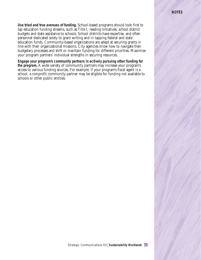#### **NOTES**

**Use tried and true avenues of funding.** School-based programs should look first to tap education funding streams, such as Title I, reading initiatives, school district budgets and state assistance to schools. School districts have expertise, and often personnel dedicated solely to grant writing and in tapping federal and state education funds. Community-based organizations are adept at securing grants in line with their organizational missions. City agencies know how to navigate their budgetary processes and shift or maintain funding for different priorities. Maximize your program partners' individual strengths in securing resources.

**Engage your program's community partners in actively pursuing other funding for the program.** A wide variety of community partners may increase your program's access to various funding sources. For example, if your program's fiscal agent is a school, a nonprofit community partner may be eligible for funding not available to schools or other public entities.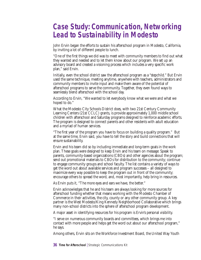### **Case Study: Communication, Networking Lead to Sustainability in Modesto**

John Ervin began the efforts to sustain his afterschool program in Modesto, California, by inviting a lot of different people to lunch.

"One of the first things we did was to meet with community members to find out what they wanted and needed and to let them know about our program. We set up an advisory board and created a visioning process which includes a very specific work plan," said Ervin.

Initially, even the school district saw the afterschool program as a "stepchild." But Ervin used the same technique, meeting anytime, anywhere with teachers, administrators and community members to invite input and make them aware of the potential of afterschool programs to serve the community. Together, they even found ways to seamlessly blend afterschool with the school day.

According to Ervin, "We wanted to let everybody know what we were and what we hoped to do."

What the Modesto City Schools District does, with two 21st Century Community Learning Centers (21st CCLC) grants, is provide approximately 1,000 middle school children with afterschool and Saturday programs designed to reinforce academic efforts. The program is designed to connect parents and other residents with adult education and a myriad of human services.

"The first year of the program you have to focus on building a quality program." But at the same time, Ervin said, you have to tell the story and build connections that will ensure sustainability.

Ervin and his team did so by including immediate and long-term goals in the work plan. These goals were designed to keep Ervin and his team on message: Speak to parents, community-based organizations (CBOs) and other agencies about the program; send out promotional materials to CBOs for distribution to the community; continue to engage community groups and school faculty. The list contains a variety of ways to get the word out about available services and program successes – all designed to maximize every way possible to keep the program out in front of the community; encourage others to spread the word, and, most importantly, help bring in resources.

As Ervin puts it, "The more eyes and ears we have, the better."

Ervin acknowledges that he and his team are always looking for more sources for afterschool funding whether that means working with the Modesto Chamber of Commerce in their activities, the city, county or any other community group. A key partner is the West Modesto/King Kennedy Neighborhood Collaborative which brings many non-school districts into the sphere of afterschool program development.

A major asset in identifying resources for his program is Ervin's personal visibility.

"I serve on numerous community boards and committees, which brings me into contact with more people and helps get the word out about our afterschool program," he says.

Among others, Ervin sits on the Workforce Investment Board, the United Way Youth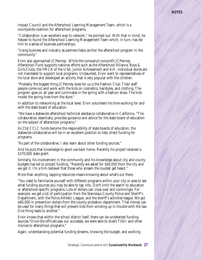#### **NOTES**

Impact Council and the Afterschool Learning Management Team, which is a countywide coalition for afterschool programs.

"Collaboration is an excellent way to network," he pointed out. With that in mind, he helped to found the Afterschool Learning Management Team which, in turn, has led him to a series of business partnerships.

"Using business and industry as partners helps anchor the afterschool program in the community."

Ervin also approached JCPenney. While the company's nonprofit JCPenney Afterschool Fund supports national efforts such as the Afterschool Alliance, Boys & Girls Clubs, the YMCA of the USA, Junior Achievement and 4-H, individual stores are not mandated to support local programs. Undaunted, Ervin went to representatives of his local store and developed an activity that is very popular with the children.

"Probably the biggest thing JCPenney does for us is the Fashion Club. Their staff people come out and work with the kids on cosmetics, hairstyles, and clothing. The program goes on all year and culminates in the spring with a fashion show. The kids model the spring lines from the store."

In addition to networking at the local level, Ervin volunteers his time working for and with the state board of education.

"We have a statewide afterschool technical assistance collaborative in California. "The collaborative, essentially, provides guidance and advice for the state board of education on the subject of afterschool programs."

As 21st CCLC funds become the responsibility of state boards of education, the statewide collaborative will be in an excellent position to help direct funding for programs.

"As part of the collaborative, I also learn about other funding sources."

And he puts that knowledge to good use back home. Recently his project received a \$370,000 state grant.

Similarly, his involvement in the community and his knowledge about city and county budgets has led to project funding. "Recently we asked for \$60,000 from the city and we got it. I'm a firm believer that those who scream the loudest get heard."

More than anything, tapping resources means knowing about what's out there.

"You need to familiarize yourself with different programs within your city or area to see what funding sources you may be able to tap into. Don't limit the search to education or afterschool-specific programs. Lots of dollars can cross over and commingle. For example, we get a lot of participation from the Stanislaus County Police and Sheriff's Department, with the Police Athletic League, and the sheriff's activities league. We got \$60,000 in prevention dollars from the county probation department. That money can be used for many things that will prevent kids from winding up in trouble with the law. One thing leads to another."

Ervin knows that within the school district itself, there can be undetected funding sources."Once the officials saw our successes, we were able to divert Title I and other monies to afterschool programs."

Again, understanding potential funding streams, knowing the budget, and working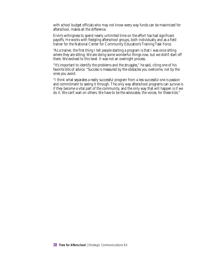with school budget officials who may not know every way funds can be maximized for afterschool, makes all the difference.

Ervin's willingness to spend nearly unlimited time on the effort has had significant payoffs. He works with fledgling afterschool groups, both individually and as a field trainer for the National Center for Community Education's Training Task Force.

"As a trainer, the first thing I tell people starting a program is that I was once sitting where they are sitting. We are doing some wonderful things now, but we didn't start off there. We evolved to this level. It was not an overnight process.

"It's important to identify the problems and the struggles," he said, citing one of his favorite bits of advice. "Success is measured by the obstacles you overcome, not by the ones you avoid.

"I think what separates a really successful program from a less successful one is passion and commitment to seeing it through. The only way afterschool programs can survive is if they become a vital part of the community, and the only way that will happen is if we do it. We can't wait on others. We have to be the advocates, the voices, for these kids."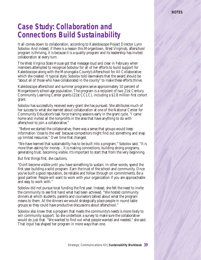### **Case Study: Collaboration and Connections Build Sustainability**

It all comes down to collaboration, according to Kaleidoscope Project Director Lynn Sobolov. And indeed, if there is a reason this Morgantown, West Virginia's, afterschool program is thriving, it is because it is a quality program and its leadership has invited collaboration at every turn.

The West Virginia State House got that message loud and clear in February when members attempted to recognize Sobolov for all of her efforts to build support for Kaleidoscope along with the Monongalia County's Afterschool for All Collaborative which she created. It typical style, Sobolov told lawmakers that the award should be "about all of those who have collaborated in the county" to make these efforts thrive.

Kaleidoscope afterschool and summer programs serve approximately 10 percent of Morgantown's school-age population. The program is a recipient of two 21st Century Community Learning Center grants (21st CCLC), including a \$1.8 million first cohort grant.

Sobolov has successfully received every grant she has pursued. She attributes much of her success to what she learned about collaboration at one of the National Center for Community Education's task force training sessions early in the grant cycle. "I came home and invited all the nonprofits in the area that have anything to do with afterschool to join a collaborative."

"Before we started the collaborative, there was a sense that groups would keep information 'close to the vest' because competitors might find out something and snap up limited resources." Over time that changed.

"We have learned that sustainability has to be built into a program," Sobolov said. "It is more than asking for money…it is making connections, building strong programs, generating trust, becoming visible. It's important to start that from the very beginning.

But first things first, she cautions.

"Don't become visible until you have something to sustain. In other words, spend the first year building a solid program. Earn the trust of the school and community. Once you've built a good reputation, be reliable and follow through on commitments. Be a good partner. People will want to work with your organization if you are approachable and easy to work with."

Sobolov did not pursue local funding the first year. Instead, she felt the need to invite the community to see first hand what had been achieved. "We hosted community dinners at which students, parents and counselors talked about what the program means to them. At the dinners we would strategically place people in round table groups so they could have productive discussions about afterschool."

Sobolov also knew that a program that meets the community's needs is more likely to win community support. So she undertook a survey to make sure the collaborative would do just that. "We wanted to find out what people wanted and needed," she said. That input has shaped her program in more ways than one.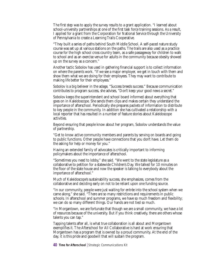The first step was to apply the survey results to a grant application. "I learned about school-university partnerships at one of the first task force training sessions. As a result, I applied for a grant from the Corporation for National Service through the University of Pennsylvania to create a Learning Trails Cooperative.

"They built a series of paths behind South Middle School. A self-paced nature study course was set up at various stations on the paths. The trails are also used as a practice course for the high school cross country team, as a safe passageway for children to walk to school and as an exercise venue for adults in the community because obesity showed up on the survey as a concern."

Another tactic Sobolov has used in gathering financial support is to collect information on where the parents work. "If we see a major employer, we get in touch with them and show them what we are doing for their employees. They may want to contribute to making life better for their employees."

Sobolov is a big believer in the adage, "Success breeds success." Because communication contributes to program success, she advises, "Don't keep your good news a secret."

Sobolov keeps the superintendent and school board informed about everything that goes on in Kaleidoscope. She sends them clips and makes certain they understand the importance of afterschool. Periodically she prepares packets of information to distribute to key people in the community. In addition she has cultivated a relationship with a local reporter that has resulted in a number of feature stories about Kaleidoscope activities.

Beyond ensuring that people know about her program, Sobolov understands the value of partnership.

"Get to know active community members and parents by serving on boards and going to public functions. Other people have connections that you don't have. Let them do the asking for help or money for you."

Having an extended family of advocates is critically important to informing policymakers about the importance of afterschool.

"Sometimes you need to lobby," she said. "We went to the state legislature as a collaborative to petition for a statewide Children's Day. We talked for 10 minutes on the floor of the state house and now the speaker is talking to everybody about the importance of afterschool."

Much of Kaleidoscope's sustainability success, she emphasizes, comes from the collaborative and deciding early on not to be reliant upon one funding source.

"In our community, people were just waiting for entrée into the school system when we came along," she said. "There are so many restrictions and requirements in public schools. In afterschool and summer programs, we have so much freedom and flexibility; we can do so many different things. Our hands are not tied so much.

"In Morgantown, we are fortunate that though we are a small community, we have a lot of resources because of the university. But if you think creatively, there are others whose talents you can tap."

Tapping talents after all, is what true collaboration is all about and Morgantown exemplifies it. The Afterschool for All Collaborative is hard at work ensuring that Morgantown has a program that is owned by a proud community. At the end of the day, it is this pride and goodwill that will sustain the program.

**40 Time for Afterschool | Strategic Communications Kit**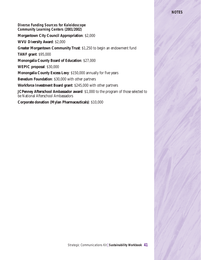#### **Diverse Funding Sources for Kaleidoscope Community Learning Centers (2001/2002)**

#### **Morgantown City Council Appropriation**: \$2,000

**WVU Diversity Award**: \$2,000

**Greater Morgantown Community Trust**: \$1,250 to begin an endowment fund

**TANF grant**: \$95,000

**Monongalia County Board of Education**: \$27,000

**WEPIC proposal**: \$30,000

**Monongalia County Excess Levy**: \$150,000 annually for five years

**Benedum Foundation**: \$30,000 with other partners

**Workforce Investment Board grant**: \$245,000 with other partners

**JCPenney Afterschool Ambassador award**: \$1,000 to the program of those selected to be National Afterschool Ambassadors

**Corporate donation (Mylan Pharmaceuticals)**: \$10,000

#### **NOTES**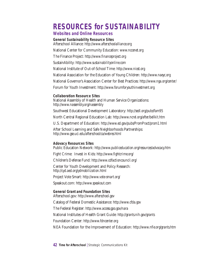### **RESOURCES for SUSTAINABILITY**

#### **Websites and Online Resources**

**General Sustainability Resource Sites** Afterschool Alliance: *http://www.afterschoolalliance.org* National Center for Community Education: *www.nccenet.org*

The Finance Project: *http://www.financeproject.org*

SustainAbility: *http://www.sustainabilityonline.com*

National Institute of Out-of-School Time: *http://www.niost.org*

National Association for the Education of Young Children: *http://www.naeyc.org*

National Governor's Association Center for Best Practices: *http://www.nga.org/center/*

Forum for Youth Investment: *http://www.forumforyouthinvestment.org*

#### **Collaboration Resource Sites**

National Assembly of Health and Human Service Organizations: *http://www.nassembly.org/nassembly*

Southwest Educational Development Laboratory: *http://sedl.org/pubs/fam95*

North Central Regional Education Lab: *http://www.ncrel.org/after/bellkit.htm*

U.S. Department of Education: *http://www.ed.gov/pubs/PromPract/prom1.html*

After School Learning and Safe Neighborhoods Partnerships: *http://www.gse.uci.edu/afterschool/ca/webres.html*

#### **Adovacy Resources Sites**

Public Education Network: *http://www.publiceducation.org/resources/advocacy.htm*

Fight Crime: Invest in Kids: *http://www.fightcrime.org/*

Children's Defense Fund: *http://www.cdfactioncouncil.org/*

Center for Youth Development and Policy Research: *http://cyd.aed.org/ydmobilization.html*

Project Vote Smart: *http://www.vote-smart.org/*

Speakout.com: *http://www.speakout.com*

**General Grant and Foundation Sites** Afterschool.gov: *http://www.afterschool.gov*

Catalog of Federal Domestic Assistance: *http://www.cfda.gov*

The Federal Register: *http://www.access.gpo.gov/nara*

National Institutes of Health Grant Guide: *http://grants.nih.gov/grants*

Foundation Center: *http://www.fdncenter.org*

NEA Foundation for the Improvement of Education: *http://www.nfie.org/grants.htm*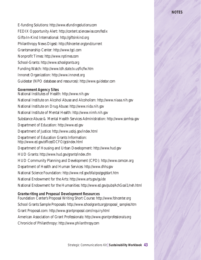#### **NOTES**

E-funding Solutions: *http://www.efundingsolutions.com* FEDIX Opportunity Alert: *http://content.sciencewise.com/fedix* Gifts-In-Kind International: *http://giftsinkind.org* Philanthropy News Digest: *http://fdncenter.org/pnd/current* Grantsmanship Center: *http://www.tgci.com* Nonprofit Times: *http://www.nptimes.com* School-Grants: *http://www.schoolgrants.org* Funding Watch: *http://www.tdh.state.tx.us/fic/fw.htm* Innonet Organization: *http://www.innonet.org* Guidestar (NPO database and resources): *http://www.guidestar.com*

#### **Government Agency Sites**

National Institutes of Health: *http://www.nih.gov* National Institute on Alcohol Abuse and Alcoholism: *http://www.niaaa.nih.gov* National Institute on Drug Abuse: *http://www.nida.nih.gov* National Institute of Mental Health: *http://www.nimh.nih.gov* Substance Abuse & Mental Health Services Administration: *http://www.samhsa.gov* Department of Education: *http://www.ed.gov* Department of Justice: *http://www.usdoj.gov/index.html* Department of Education Grants Information: *http://www.ed.gov/offices/OCFO/gcsindex.html* Department of Housing and Urban Development: *http://www.hud.gov* HUD Grants: *http://www.hud.gov/grants/index.cfm* HUD Community Planning and Development (CPD): *http://www.comcon.org* Department of Health and Human Services: *http://www.dhhs.gov* National Science Foundation: *http://www.nsf.gov/bfa/cpo/gpg/start.htm* National Endowment for the Arts: *http://www.arts.gov/guide* National Endowment for the Humanities: *http://www.ed.gov/pubs/AchGoal1/neh.html*

**Grantwriting and Proposal Development Resources** Foundation Center's Proposal Writing Short Course: *http://www.fdncenter.org* School Grants Sample Proposals: *http://www.schoolgrants.org/proposal\_samples.htm* Grant Proposal.com: *http://www.grantproposal.com/inquiry.html* American Association of Grant Professionals: *http://www.grantprofessionals.org* Chronicle of Philanthropy: *http://www.philanthropy.com*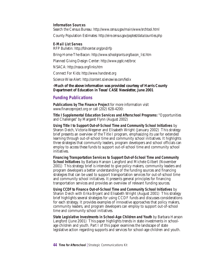**Information Sources** Search the Census Bureau: *http://www.census.gov/main/www/srchtool.html* County Population Estimates: *http://eire.census.gov/poptest/data/counties.php*

**E-Mail List Serves**

Bring-Home-The-Bacon: *http://www.schoolgrants.org/bacon\_list.htm*

Planned Giving Design Center: *http://www.pgdc.net/broc*

NSACA: *http://nsaca.org/links.htm*

Connect For Kids: *http://www.handsnet.org*

RFP Bulletin: *http://fdncenter.org/pnd/rfp*

Science Wise Alert: *http://content.sciencewise.com/fedix*

**-Much of the above information was provided courtesy of Harris County Department of Education in Texas' CASE Newsletter, June 2001**

#### **Funding Publications**

**Publications by The Finance Project** for more information visit www.financeproject.org or call (202) 628-4200:

**Title I Supplemental Education Services and Afterschool Programs:** "Opportunities and Challenges" by Margaret Flynn (August 2002)

**Using Title I to Support Out-of-School Time and Community School Initiatives** by Sharon Deich, Victoria Wegener and Elisabeth Wright (January 2002) This strategy brief presents an overview of the Title I program, emphasizing its use for extended learning through out-of-school time and community school initiatives. It highlights three strategies that community leaders, program developers and school officials can employ to access these funds to support out-of-school time and community school initiatives.

**Financing Transportation Services to Support Out-of-School Time and Community School Initiatives** by Barbara Hanson Langford and Michele Gilbert (November 2001) This strategy brief is intended to give policy makers, community leaders and program developers a better understanding of the funding sources and financing strategies that can be used to support transportation services for out-of-school time and community school initiatives. It presents general principles for financing transportation services and provides an overview of relevant funding sources.

**Using CCDF to Finance Out-of-School Time and Community School Initiatives** by Sharon Deich with Erika Bryant and Elisabeth Wright (August 2001) This strategy brief highlights several strategies for using CCDF funds and discusses considerations for each strategy. It provides examples of innovative approaches that policy makers, community leaders, and program developers can employ to support out-of-school time and community school initiatives.

**State Legislative Investments in School-Age Children and Youth** by Barbara Hanson Langford (June 2001) This paper highlights trends in state investments in schoolage children and youth. Part I of this paper examines the landscape of state legislative action regarding supports and services for school-age children and youth.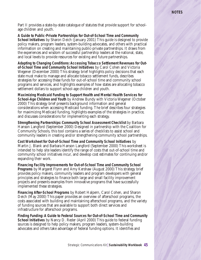#### **NOTES**

Part II provides a state-by-state catalogue of statutes that provide support for schoolage children and youth.

**A Guide to Public-Private Partnerships for Out-of-School Time and Community School Initiatives** by Sharon Deich (January 2001) This guide is designed to provide policy makers, program leaders, system-building advocates, and others with practical information on creating and maintaining public-private partnerships. It draws from the experiences and wisdom of successful partnership leaders at the national, state, and local levels to provide resources for existing and future partnerships.

**Adapting to Changing Conditions: Accessing Tobacco Settlement Revenues for Outof-School Time and Community School Initiatives** by Carol Cohen and Victoria Wegener (December 2000) This strategy brief highlights policy decisions that each state must make to manage and allocate tobacco settlement funds, describes strategies for accessing these funds for out-of-school time and community school programs and services, and highlights examples of how states are allocating tobacco settlement dollars to support school-age children and youth.

**Maximizing Medicaid Funding to Support Health and Mental Health Services for School-Age Children and Youth** by Andrew Bundy with Victoria Wegener (October 2000) This strategy brief presents background information and general considerations when accessing Medicaid funding. The brief describes four strategies for maximizing Medicaid funding, highlights examples of the strategies in practice, and discusses considerations for implementing each strategy.

**Strengthening Partnerships: Community School Assessment Checklist** by Barbara Hanson Langford (September 2000) Designed in partnership with the Coalition for Community Schools, this tool contains a series of checklists to assist school and community leaders in creating and/or strengthening community school partnerships.

**Cost Worksheet for Out-of-School Time and Community School Initiatives** by Martin J. Blank and Barbara Hanson Langford (September 2000) This worksheet is intended to help site leaders identify the range of costs that out-of-school time and community school initiatives incur, and develop cost estimates for continuing and/or expanding their work.

**Financing Facility Improvements for Out-of-School Time and Community School Programs** by Margaret Flynn and Amy Kershaw (August 2000) This strategy brief provides policy makers, community leaders and program developers with general principles and strategies to finance both large and small facility improvement projects and presents examples from innovative programs that have successfully implemented these strategies.

**Financing After-School Programs** by Robert Halpern, Carol Cohen, and Sharon Deich (May 2000) This paper provides an overview of afterschool programs, the costs associated with building and maintaining afterschool programs, and the variety of funding sources that are available to support both direct services and infrastructure for afterschool programs.

**Finding Funding: A Guide to Federal Sources for Out-of-School Time and Community School Initiatives** by Nancy D. Reder (April 2000) This guide to federal funding sources is designed to help policy makers, program leaders, system-building advocates and others take advantage of federal funding options. It identifies and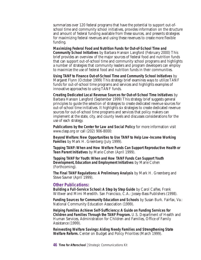summarizes over 120 federal programs that have the potential to support out-ofschool time and community school initiatives, provides information on the structure and amount of federal funding available from these sources, and presents strategies for maximizing federal revenues and using these revenues to create more flexible funding.

**Maximizing Federal Food and Nutrition Funds for Out-of-School Time and Community School Initiatives** by Barbara Hanson Langford (February 2000) This brief provides an overview of the major sources of federal food and nutrition funds that can support out-of-school time and community school programs and highlights a number of strategies that community leaders and program developers can employ to maximize the use of federal food and nutrition funds in their communities.

**Using TANF to Finance Out-of-School Time and Community School Initiatives** by Margaret Flynn (October 1999) This strategy brief examines ways to utilize TANF funds for out-of-school time programs and services and highlights examples of innovative approaches to using TANF funds.

**Creating Dedicated Local Revenue Sources for Out-of-School Time Initiatives** by Barbara Hanson Langford (September 1999) This strategy brief suggests general principles to guide the selection of strategies to create dedicated revenue sources for out-of-school time initiatives. It highlights six strategies to create dedicated revenue sources for out-of-school time programs and services that policy makers can implement at the state, city, and county levels and discusses considerations for the use of each strategy.

**Publications by the Center for Law and Social Policy** for more information visit www.clasp.org or call (202) 906-8000:

**Beyond Welfare: New Opportunities to Use TANF to Help Low-Income Working Families** by Mark H. Greenberg (July 1999).

**Tapping TANF: When and How Welfare Funds Can Support Reproductive Health or Teen Parent Initiatives** by Marie Cohen (April 1999).

**Tapping TANF for Youth: When and How TANF Funds Can Support Youth Development, Education and Employment Initiatives** by Marie Cohen (Forthcoming).

**The Final TANF Regulations: A Preliminary Analysis** by Mark H. Greenberg and Steve Savner (April 1999).

#### **Other Publications:**

**Building a Full-Service School: A Step by Step Guide** by Carol Calfee, Frank Wittwer and Mimi Meredith. San Francisco, C.A.: Jossey-Bass Publishers (1998).

**Funding Sources for Community Education and Schools** by Susan Burk. Fairfax, Va.: National Community Education Association (1999).

**Helping Families Achieve Self-Sufficiency: A Guide on Funding Services for Children and Families Through the TANF Program.** U.S. Department of Health and Human Services, Administration for Children and Families, Office of Family Assistance (1999).

**Reinvesting Welfare Savings: Aiding Needy Families and Strengthening State Welfare Reform.** Center on Budget and Policy Priorities (March 1999).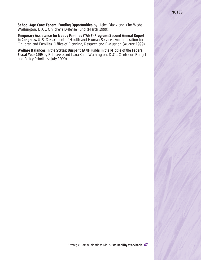#### **NOTES**

**School-Age Care: Federal Funding Opportunities** by Helen Blank and Kim Wade. Washington, D.C.: Children's Defense Fund (March 1999).

**Temporary Assistance for Needy Families (TANF) Program: Second Annual Report to Congress.** U.S. Department of Health and Human Services, Administration for Children and Families, Office of Planning, Research and Evaluation (August 1999).

**Welfare Balances in the States: Unspent TANF Funds in the Middle of the Federal Fiscal Year 1999** by Ed Lazere and Lana Kim. Washington, D.C.: Center on Budget and Policy Priorities (July 1999).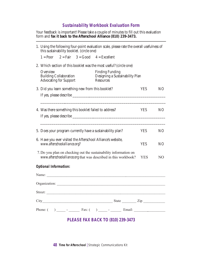#### **Sustainability Workbook Evaluation Form**

Your feedback is important! Please take a couple of minutes to fill out this evaluation form and **fax it back to the Afterschool Alliance (810) 239-3473.**

| 1. Using the following four-point evaluation scale, please rate the overall usefulness of<br>this sustainability booklet. (circle one) |                                                                            |  |         |                                                                               |            |                 |
|----------------------------------------------------------------------------------------------------------------------------------------|----------------------------------------------------------------------------|--|---------|-------------------------------------------------------------------------------|------------|-----------------|
|                                                                                                                                        |                                                                            |  |         | $1 = Poor$ $2 = Fair$ $3 = Good$ $4 = Excellent$                              |            |                 |
|                                                                                                                                        | 2. Which section of this booklet was the most useful? (circle one)         |  |         |                                                                               |            |                 |
|                                                                                                                                        | Overview<br><b>Building Collaboration</b><br><b>Advocating for Support</b> |  |         | <b>Finding Funding</b><br>Designing a Sustainability Plan<br><b>Resources</b> |            |                 |
|                                                                                                                                        | 3. Did you learn something new from this booklet?                          |  |         |                                                                               | <b>YES</b> | NO.             |
|                                                                                                                                        |                                                                            |  |         |                                                                               |            |                 |
|                                                                                                                                        |                                                                            |  |         |                                                                               |            |                 |
|                                                                                                                                        | 4. Was there something this booklet failed to address?                     |  |         |                                                                               | <b>YES</b> | NO <sub>1</sub> |
|                                                                                                                                        |                                                                            |  |         |                                                                               |            |                 |
|                                                                                                                                        |                                                                            |  |         |                                                                               |            |                 |
|                                                                                                                                        | 5. Does your program currently have a sustainability plan?                 |  |         |                                                                               | <b>YES</b> | NO <sub>1</sub> |
| 6. Have you ever visited the Afterschool Alliance's website,<br>www.afterschoolalliance.org?                                           |                                                                            |  |         |                                                                               | <b>YES</b> | NO.             |
| 7. Do you plan on checking out the sustainability information on<br>www.afterschoolalliance.org that was described in this workbook?   |                                                                            |  |         |                                                                               | <b>YES</b> | N <sub>O</sub>  |
|                                                                                                                                        | <b>Optional Information:</b>                                               |  |         |                                                                               |            |                 |
|                                                                                                                                        |                                                                            |  | Name:   |                                                                               |            |                 |
|                                                                                                                                        |                                                                            |  |         | Organization:                                                                 |            |                 |
|                                                                                                                                        |                                                                            |  | Street: |                                                                               |            |                 |
|                                                                                                                                        |                                                                            |  |         |                                                                               |            |                 |
|                                                                                                                                        |                                                                            |  |         |                                                                               |            |                 |
| <b>PLEASE FAX BACK TO (810) 239-3473</b>                                                                                               |                                                                            |  |         |                                                                               |            |                 |